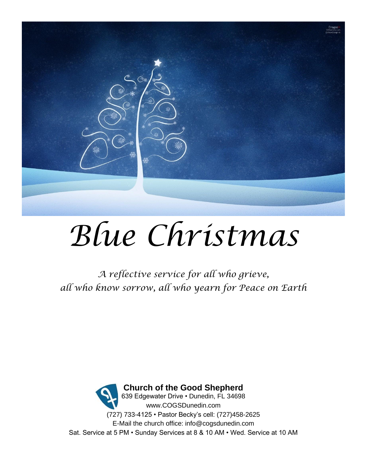

# *Blue Christmas*

*A reflective service for all who grieve, all who know sorrow, all who yearn for Peace on Earth*

**Church of the Good Shepherd** 639 Edgewater Drive • Dunedin, FL 34698 www.COGSDunedin.com (727) 733-4125 • Pastor Becky's cell: (727)458-2625 E-Mail the church office: info@cogsdunedin.com Sat. Service at 5 PM • Sunday Services at 8 & 10 AM • Wed. Service at 10 AM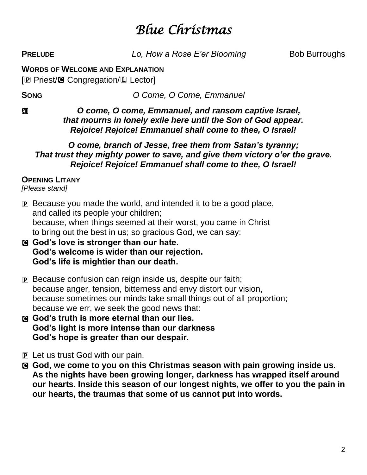## *Blue Christmas*

**PRELUDE** *Lo, How a Rose E'er Blooming* Bob Burroughs

**WORDS OF WELCOME AND EXPLANATION** [P Priest/C Congregation/L Lector]

**SONG** *O Come, O Come, Emmanuel*

a *O come, O come, Emmanuel, and ransom captive Israel, that mourns in lonely exile here until the Son of God appear. Rejoice! Rejoice! Emmanuel shall come to thee, O Israel!*

*O come, branch of Jesse, free them from Satan's tyranny; That trust they mighty power to save, and give them victory o'er the grave. Rejoice! Rejoice! Emmanuel shall come to thee, O Israel!*

#### **OPENING LITANY**

*[Please stand]*

- P Because you made the world, and intended it to be a good place, and called its people your children; because, when things seemed at their worst, you came in Christ to bring out the best in us; so gracious God, we can say:
- C **God's love is stronger than our hate. God's welcome is wider than our rejection. God's life is mightier than our death.**
- P Because confusion can reign inside us, despite our faith; because anger, tension, bitterness and envy distort our vision, because sometimes our minds take small things out of all proportion; because we err, we seek the good news that:
- C **God's truth is more eternal than our lies. God's light is more intense than our darkness God's hope is greater than our despair.**
- P Let us trust God with our pain.
- C **God, we come to you on this Christmas season with pain growing inside us. As the nights have been growing longer, darkness has wrapped itself around our hearts. Inside this season of our longest nights, we offer to you the pain in our hearts, the traumas that some of us cannot put into words.**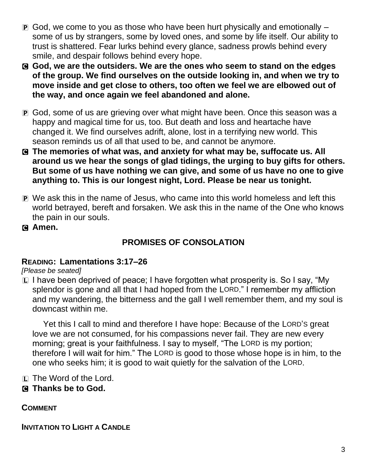- $\mathbb{P}$  God, we come to you as those who have been hurt physically and emotionally  $$ some of us by strangers, some by loved ones, and some by life itself. Our ability to trust is shattered. Fear lurks behind every glance, sadness prowls behind every smile, and despair follows behind every hope.
- C **God, we are the outsiders. We are the ones who seem to stand on the edges of the group. We find ourselves on the outside looking in, and when we try to move inside and get close to others, too often we feel we are elbowed out of the way, and once again we feel abandoned and alone.**
- P God, some of us are grieving over what might have been. Once this season was a happy and magical time for us, too. But death and loss and heartache have changed it. We find ourselves adrift, alone, lost in a terrifying new world. This season reminds us of all that used to be, and cannot be anymore.
- C **The memories of what was, and anxiety for what may be, suffocate us. All around us we hear the songs of glad tidings, the urging to buy gifts for others. But some of us have nothing we can give, and some of us have no one to give anything to. This is our longest night, Lord. Please be near us tonight.**
- P We ask this in the name of Jesus, who came into this world homeless and left this world betrayed, bereft and forsaken. We ask this in the name of the One who knows the pain in our souls.
- C **Amen.**

### **PROMISES OF CONSOLATION**

#### **READING: Lamentations 3:17–26**

#### *[Please be seated]*

 $\Box$  I have been deprived of peace; I have forgotten what prosperity is. So I say, "My splendor is gone and all that I had hoped from the LORD." I remember my affliction and my wandering, the bitterness and the gall I well remember them, and my soul is downcast within me.

Yet this I call to mind and therefore I have hope: Because of the LORD'S great love we are not consumed, for his compassions never fail. They are new every morning; great is your faithfulness. I say to myself, "The LORD is my portion; therefore I will wait for him." The LORD is good to those whose hope is in him, to the one who seeks him; it is good to wait quietly for the salvation of the LORD.

- L The Word of the Lord.
- C **Thanks be to God.**

**COMMENT**

**INVITATION TO LIGHT A CANDLE**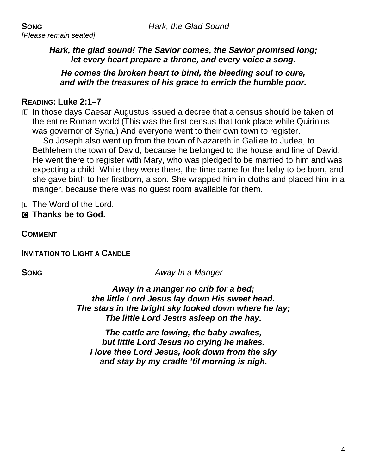*[Please remain seated]*

*Hark, the glad sound! The Savior comes, the Savior promised long; let every heart prepare a throne, and every voice a song.*

*He comes the broken heart to bind, the bleeding soul to cure, and with the treasures of his grace to enrich the humble poor.*

#### **READING: Luke 2:1–7**

L In those days Caesar Augustus issued a decree that a census should be taken of the entire Roman world (This was the first census that took place while Quirinius was governor of Syria.) And everyone went to their own town to register.

So Joseph also went up from the town of Nazareth in Galilee to Judea, to Bethlehem the town of David, because he belonged to the house and line of David. He went there to register with Mary, who was pledged to be married to him and was expecting a child. While they were there, the time came for the baby to be born, and she gave birth to her firstborn, a son. She wrapped him in cloths and placed him in a manger, because there was no guest room available for them.

- L The Word of the Lord.
- C **Thanks be to God.**

**COMMENT**

**INVITATION TO LIGHT A CANDLE**

**SONG** *Away In a Manger*

*Away in a manger no crib for a bed; the little Lord Jesus lay down His sweet head. The stars in the bright sky looked down where he lay; The little Lord Jesus asleep on the hay.*

*The cattle are lowing, the baby awakes, but little Lord Jesus no crying he makes. I love thee Lord Jesus, look down from the sky and stay by my cradle 'til morning is nigh.*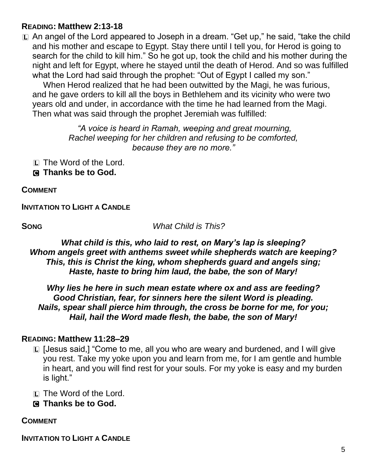#### **READING: Matthew 2:13-18**

L An angel of the Lord appeared to Joseph in a dream. "Get up," he said, "take the child and his mother and escape to Egypt. Stay there until I tell you, for Herod is going to search for the child to kill him." So he got up, took the child and his mother during the night and left for Egypt, where he stayed until the death of Herod. And so was fulfilled what the Lord had said through the prophet: "Out of Egypt I called my son."

When Herod realized that he had been outwitted by the Magi, he was furious, and he gave orders to kill all the boys in Bethlehem and its vicinity who were two years old and under, in accordance with the time he had learned from the Magi. Then what was said through the prophet Jeremiah was fulfilled:

> *"A voice is heard in Ramah, weeping and great mourning, Rachel weeping for her children and refusing to be comforted, because they are no more."*

- L The Word of the Lord.
- C **Thanks be to God.**

#### **COMMENT**

**INVITATION TO LIGHT A CANDLE**

**SONG** *What Child is This?*

*What child is this, who laid to rest, on Mary's lap is sleeping? Whom angels greet with anthems sweet while shepherds watch are keeping? This, this is Christ the king, whom shepherds guard and angels sing; Haste, haste to bring him laud, the babe, the son of Mary!*

*Why lies he here in such mean estate where ox and ass are feeding? Good Christian, fear, for sinners here the silent Word is pleading. Nails, spear shall pierce him through, the cross be borne for me, for you; Hail, hail the Word made flesh, the babe, the son of Mary!*

#### **READING: Matthew 11:28–29**

- L [Jesus said,] "Come to me, all you who are weary and burdened, and I will give you rest. Take my yoke upon you and learn from me, for I am gentle and humble in heart, and you will find rest for your souls. For my yoke is easy and my burden is light."
- L The Word of the Lord.
- C **Thanks be to God.**

**COMMENT**

**INVITATION TO LIGHT A CANDLE**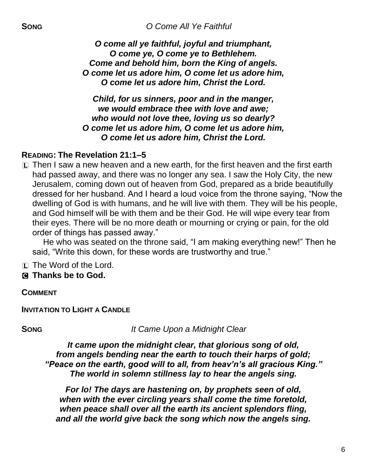*O come all ye faithful, joyful and triumphant, O come ye, O come ye to Bethlehem. Come and behold him, born the King of angels. O come let us adore him, O come let us adore him, O come let us adore him, Christ the Lord.*

*Child, for us sinners, poor and in the manger, we would embrace thee with love and awe; who would not love thee, loving us so dearly? O come let us adore him, O come let us adore him, O come let us adore him, Christ the Lord.*

#### **READING: The Revelation 21:1–5**

 $\Box$  Then I saw a new heaven and a new earth, for the first heaven and the first earth had passed away, and there was no longer any sea. I saw the Holy City, the new Jerusalem, coming down out of heaven from God, prepared as a bride beautifully dressed for her husband. And I heard a loud voice from the throne saying, "Now the dwelling of God is with humans, and he will live with them. They will be his people, and God himself will be with them and be their God. He will wipe every tear from their eyes. There will be no more death or mourning or crying or pain, for the old order of things has passed away."

He who was seated on the throne said, "I am making everything new!" Then he said, "Write this down, for these words are trustworthy and true."

L The Word of the Lord.

C **Thanks be to God.**

#### **COMMENT**

**INVITATION TO LIGHT A CANDLE**

**SONG** *It Came Upon a Midnight Clear*

*It came upon the midnight clear, that glorious song of old, from angels bending near the earth to touch their harps of gold; "Peace on the earth, good will to all, from heav'n's all gracious King." The world in solemn stillness lay to hear the angels sing.*

*For lo! The days are hastening on, by prophets seen of old, when with the ever circling years shall come the time foretold, when peace shall over all the earth its ancient splendors fling, and all the world give back the song which now the angels sing.*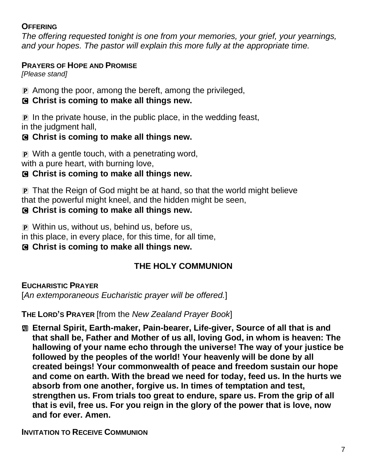#### **OFFERING**

*The offering requested tonight is one from your memories, your grief, your yearnings, and your hopes. The pastor will explain this more fully at the appropriate time.*

#### **PRAYERS OF HOPE AND PROMISE**

*[Please stand]*

P Among the poor, among the bereft, among the privileged,

#### C **Christ is coming to make all things new.**

 $\mathbb{P}$  In the private house, in the public place, in the wedding feast, in the judgment hall,

#### C **Christ is coming to make all things new.**

P With a gentle touch, with a penetrating word, with a pure heart, with burning love,

#### C **Christ is coming to make all things new.**

 $\overline{P}$  That the Reign of God might be at hand, so that the world might believe that the powerful might kneel, and the hidden might be seen,

#### C **Christ is coming to make all things new.**

P Within us, without us, behind us, before us,

in this place, in every place, for this time, for all time,

#### C **Christ is coming to make all things new.**

#### **THE HOLY COMMUNION**

**EUCHARISTIC PRAYER** [*An extemporaneous Eucharistic prayer will be offered.*]

#### **THE LORD'S PRAYER** [from the *New Zealand Prayer Book*]

a **Eternal Spirit, Earth-maker, Pain-bearer, Life-giver, Source of all that is and that shall be, Father and Mother of us all, loving God, in whom is heaven: The hallowing of your name echo through the universe! The way of your justice be followed by the peoples of the world! Your heavenly will be done by all created beings! Your commonwealth of peace and freedom sustain our hope and come on earth. With the bread we need for today, feed us. In the hurts we absorb from one another, forgive us. In times of temptation and test, strengthen us. From trials too great to endure, spare us. From the grip of all that is evil, free us. For you reign in the glory of the power that is love, now and for ever. Amen.**

**INVITATION TO RECEIVE COMMUNION**